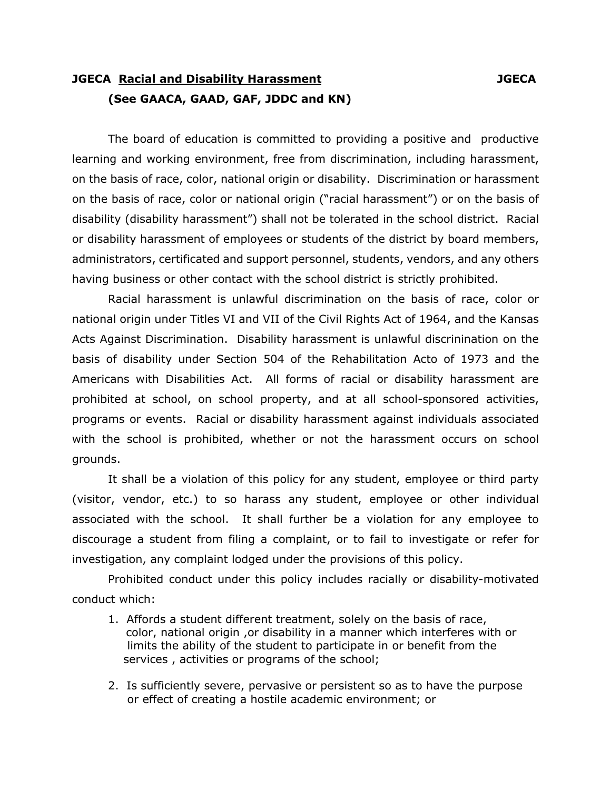## **JGECA Racial and Disability Harassment JGECA (See GAACA, GAAD, GAF, JDDC and KN)**

The board of education is committed to providing a positive and productive learning and working environment, free from discrimination, including harassment, on the basis of race, color, national origin or disability. Discrimination or harassment on the basis of race, color or national origin ("racial harassment") or on the basis of disability (disability harassment") shall not be tolerated in the school district. Racial or disability harassment of employees or students of the district by board members, administrators, certificated and support personnel, students, vendors, and any others having business or other contact with the school district is strictly prohibited.

 Racial harassment is unlawful discrimination on the basis of race, color or national origin under Titles VI and VII of the Civil Rights Act of 1964, and the Kansas Acts Against Discrimination. Disability harassment is unlawful discrinination on the basis of disability under Section 504 of the Rehabilitation Acto of 1973 and the Americans with Disabilities Act. All forms of racial or disability harassment are prohibited at school, on school property, and at all school-sponsored activities, programs or events. Racial or disability harassment against individuals associated with the school is prohibited, whether or not the harassment occurs on school grounds.

 It shall be a violation of this policy for any student, employee or third party (visitor, vendor, etc.) to so harass any student, employee or other individual associated with the school. It shall further be a violation for any employee to discourage a student from filing a complaint, or to fail to investigate or refer for investigation, any complaint lodged under the provisions of this policy.

 Prohibited conduct under this policy includes racially or disability-motivated conduct which:

- 1. Affords a student different treatment, solely on the basis of race, color, national origin ,or disability in a manner which interferes with or limits the ability of the student to participate in or benefit from the services , activities or programs of the school;
- 2. Is sufficiently severe, pervasive or persistent so as to have the purpose or effect of creating a hostile academic environment; or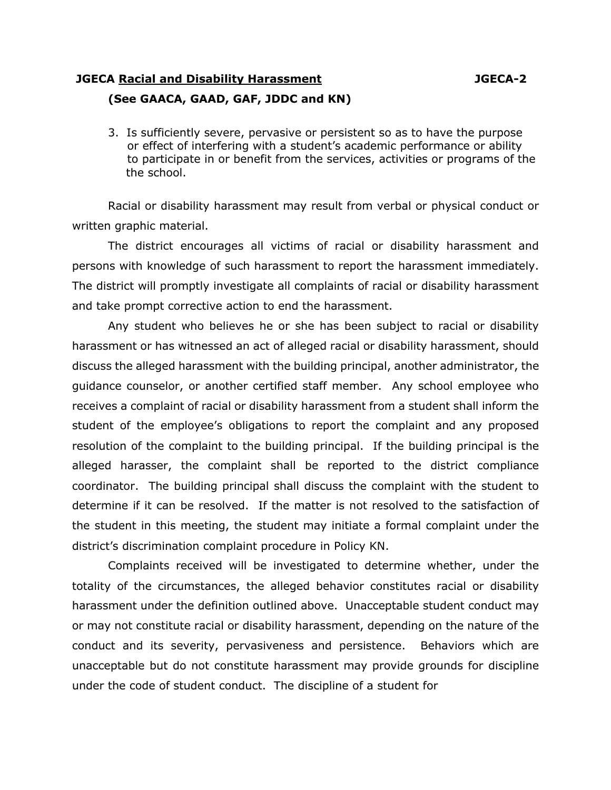## **JGECA Racial and Disability Harassment JGECA-2 (See GAACA, GAAD, GAF, JDDC and KN)**

 3. Is sufficiently severe, pervasive or persistent so as to have the purpose or effect of interfering with a student's academic performance or ability to participate in or benefit from the services, activities or programs of the the school.

 Racial or disability harassment may result from verbal or physical conduct or written graphic material.

 The district encourages all victims of racial or disability harassment and persons with knowledge of such harassment to report the harassment immediately. The district will promptly investigate all complaints of racial or disability harassment and take prompt corrective action to end the harassment.

 Any student who believes he or she has been subject to racial or disability harassment or has witnessed an act of alleged racial or disability harassment, should discuss the alleged harassment with the building principal, another administrator, the guidance counselor, or another certified staff member. Any school employee who receives a complaint of racial or disability harassment from a student shall inform the student of the employee's obligations to report the complaint and any proposed resolution of the complaint to the building principal. If the building principal is the alleged harasser, the complaint shall be reported to the district compliance coordinator. The building principal shall discuss the complaint with the student to determine if it can be resolved. If the matter is not resolved to the satisfaction of the student in this meeting, the student may initiate a formal complaint under the district's discrimination complaint procedure in Policy KN.

 Complaints received will be investigated to determine whether, under the totality of the circumstances, the alleged behavior constitutes racial or disability harassment under the definition outlined above. Unacceptable student conduct may or may not constitute racial or disability harassment, depending on the nature of the conduct and its severity, pervasiveness and persistence. Behaviors which are unacceptable but do not constitute harassment may provide grounds for discipline under the code of student conduct. The discipline of a student for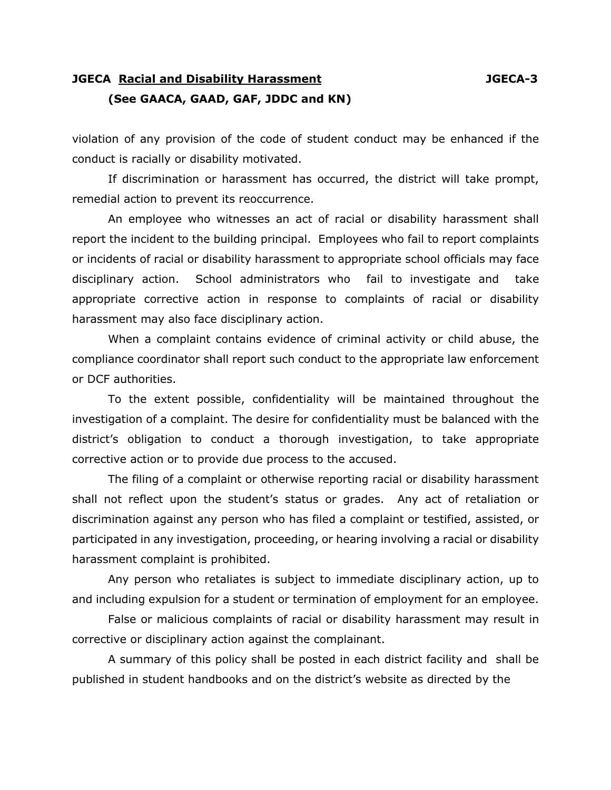## **JGECA Racial and Disability Harassment JGECA-3 (See GAACA, GAAD, GAF, JDDC and KN)**

violation of any provision of the code of student conduct may be enhanced if the conduct is racially or disability motivated.

If discrimination or harassment has occurred, the district will take prompt, remedial action to prevent its reoccurrence.

 An employee who witnesses an act of racial or disability harassment shall report the incident to the building principal. Employees who fail to report complaints or incidents of racial or disability harassment to appropriate school officials may face disciplinary action. School administrators who fail to investigate and take appropriate corrective action in response to complaints of racial or disability harassment may also face disciplinary action.

 When a complaint contains evidence of criminal activity or child abuse, the compliance coordinator shall report such conduct to the appropriate law enforcement or DCF authorities.

 To the extent possible, confidentiality will be maintained throughout the investigation of a complaint. The desire for confidentiality must be balanced with the district's obligation to conduct a thorough investigation, to take appropriate corrective action or to provide due process to the accused.

 The filing of a complaint or otherwise reporting racial or disability harassment shall not reflect upon the student's status or grades. Any act of retaliation or discrimination against any person who has filed a complaint or testified, assisted, or participated in any investigation, proceeding, or hearing involving a racial or disability harassment complaint is prohibited.

 Any person who retaliates is subject to immediate disciplinary action, up to and including expulsion for a student or termination of employment for an employee.

 False or malicious complaints of racial or disability harassment may result in corrective or disciplinary action against the complainant.

 A summary of this policy shall be posted in each district facility and shall be published in student handbooks and on the district's website as directed by the